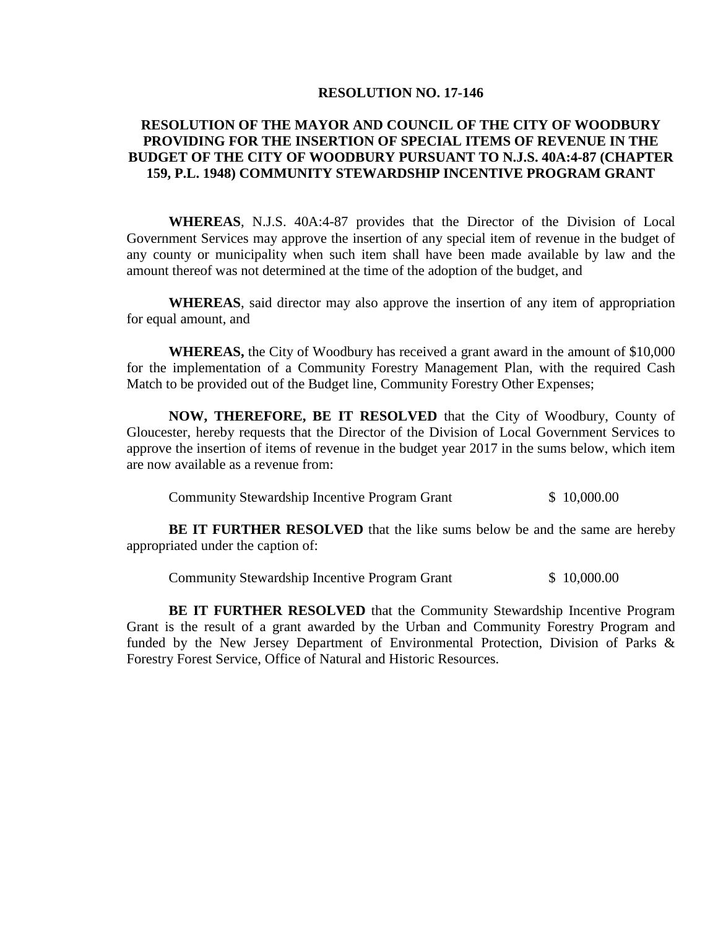## **RESOLUTION NO. 17-146**

## **RESOLUTION OF THE MAYOR AND COUNCIL OF THE CITY OF WOODBURY PROVIDING FOR THE INSERTION OF SPECIAL ITEMS OF REVENUE IN THE BUDGET OF THE CITY OF WOODBURY PURSUANT TO N.J.S. 40A:4-87 (CHAPTER 159, P.L. 1948) COMMUNITY STEWARDSHIP INCENTIVE PROGRAM GRANT**

**WHEREAS**, N.J.S. 40A:4-87 provides that the Director of the Division of Local Government Services may approve the insertion of any special item of revenue in the budget of any county or municipality when such item shall have been made available by law and the amount thereof was not determined at the time of the adoption of the budget, and

**WHEREAS**, said director may also approve the insertion of any item of appropriation for equal amount, and

**WHEREAS,** the City of Woodbury has received a grant award in the amount of \$10,000 for the implementation of a Community Forestry Management Plan, with the required Cash Match to be provided out of the Budget line, Community Forestry Other Expenses;

**NOW, THEREFORE, BE IT RESOLVED** that the City of Woodbury, County of Gloucester, hereby requests that the Director of the Division of Local Government Services to approve the insertion of items of revenue in the budget year 2017 in the sums below, which item are now available as a revenue from:

Community Stewardship Incentive Program Grant \$ 10,000.00

**BE IT FURTHER RESOLVED** that the like sums below be and the same are hereby appropriated under the caption of:

Community Stewardship Incentive Program Grant \$ 10,000.00

**BE IT FURTHER RESOLVED** that the Community Stewardship Incentive Program Grant is the result of a grant awarded by the Urban and Community Forestry Program and funded by the New Jersey Department of Environmental Protection, Division of Parks & Forestry Forest Service, Office of Natural and Historic Resources.